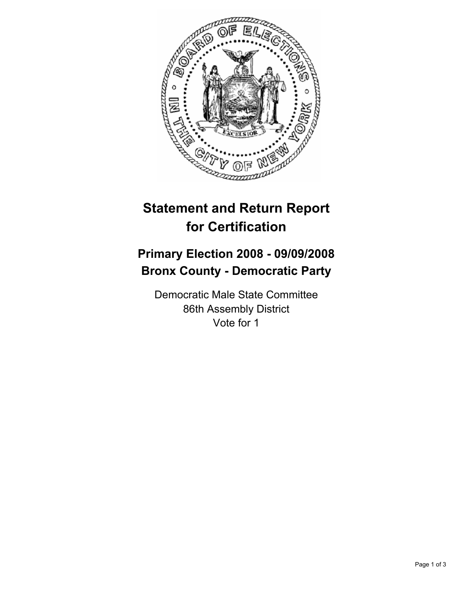

## **Statement and Return Report for Certification**

## **Primary Election 2008 - 09/09/2008 Bronx County - Democratic Party**

Democratic Male State Committee 86th Assembly District Vote for 1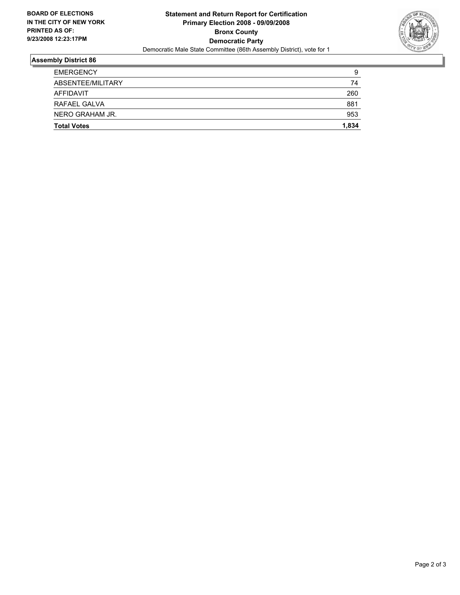

## **Assembly District 86**

| <b>Total Votes</b> | 1,834 |
|--------------------|-------|
| NERO GRAHAM JR.    | 953   |
| RAFAEL GALVA       | 881   |
| AFFIDAVIT          | 260   |
| ABSENTEE/MILITARY  | 74    |
| <b>EMERGENCY</b>   | 9     |